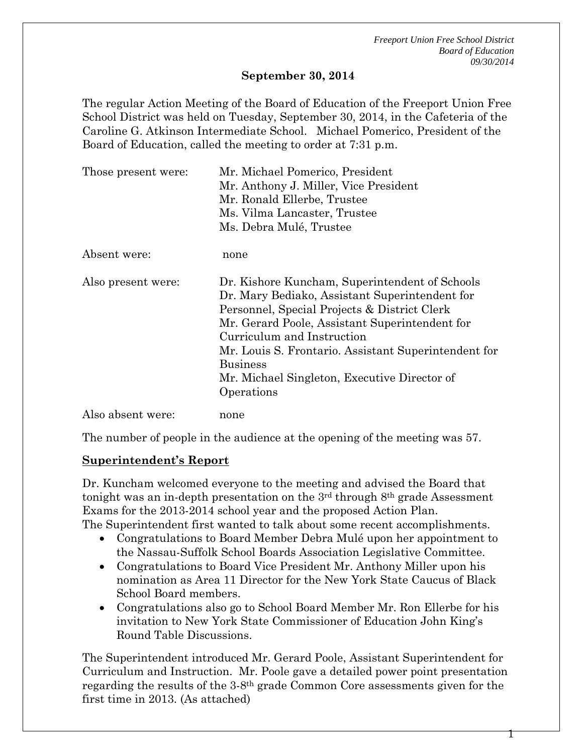*Freeport Union Free School District Board of Education 09/30/2014*

#### **September 30, 2014**

The regular Action Meeting of the Board of Education of the Freeport Union Free School District was held on Tuesday, September 30, 2014, in the Cafeteria of the Caroline G. Atkinson Intermediate School. Michael Pomerico, President of the Board of Education, called the meeting to order at 7:31 p.m.

| Those present were: | Mr. Michael Pomerico, President<br>Mr. Anthony J. Miller, Vice President<br>Mr. Ronald Ellerbe, Trustee<br>Ms. Vilma Lancaster, Trustee<br>Ms. Debra Mulé, Trustee                                                                                                                                                                                                        |  |
|---------------------|---------------------------------------------------------------------------------------------------------------------------------------------------------------------------------------------------------------------------------------------------------------------------------------------------------------------------------------------------------------------------|--|
| Absent were:        | none                                                                                                                                                                                                                                                                                                                                                                      |  |
| Also present were:  | Dr. Kishore Kuncham, Superintendent of Schools<br>Dr. Mary Bediako, Assistant Superintendent for<br>Personnel, Special Projects & District Clerk<br>Mr. Gerard Poole, Assistant Superintendent for<br>Curriculum and Instruction<br>Mr. Louis S. Frontario. Assistant Superintendent for<br><b>Business</b><br>Mr. Michael Singleton, Executive Director of<br>Operations |  |
| Also absent were:   | none                                                                                                                                                                                                                                                                                                                                                                      |  |

The number of people in the audience at the opening of the meeting was 57.

### **Superintendent's Report**

Dr. Kuncham welcomed everyone to the meeting and advised the Board that tonight was an in-depth presentation on the 3rd through 8th grade Assessment Exams for the 2013-2014 school year and the proposed Action Plan. The Superintendent first wanted to talk about some recent accomplishments.

- Congratulations to Board Member Debra Mulé upon her appointment to the Nassau-Suffolk School Boards Association Legislative Committee.
- Congratulations to Board Vice President Mr. Anthony Miller upon his nomination as Area 11 Director for the New York State Caucus of Black School Board members.
- Congratulations also go to School Board Member Mr. Ron Ellerbe for his invitation to New York State Commissioner of Education John King's Round Table Discussions.

The Superintendent introduced Mr. Gerard Poole, Assistant Superintendent for Curriculum and Instruction. Mr. Poole gave a detailed power point presentation regarding the results of the 3-8th grade Common Core assessments given for the first time in 2013. (As attached)

1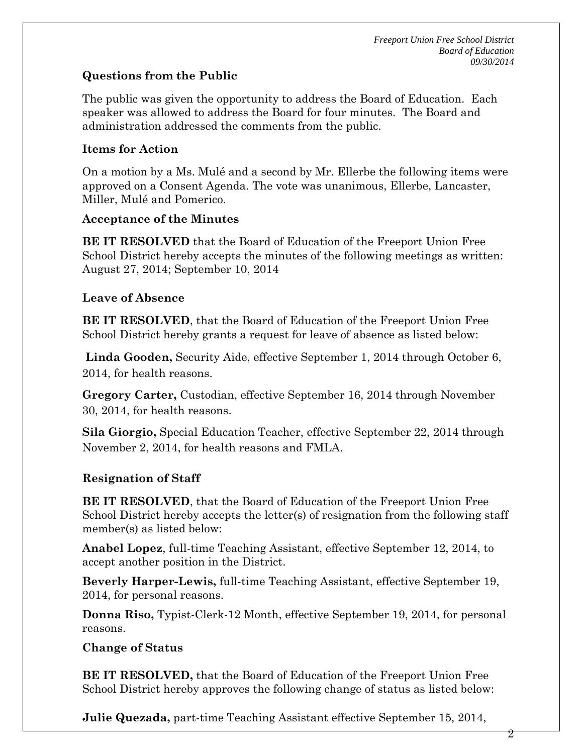# **Questions from the Public**

The public was given the opportunity to address the Board of Education. Each speaker was allowed to address the Board for four minutes. The Board and administration addressed the comments from the public.

## **Items for Action**

On a motion by a Ms. Mulé and a second by Mr. Ellerbe the following items were approved on a Consent Agenda. The vote was unanimous, Ellerbe, Lancaster, Miller, Mulé and Pomerico.

### **Acceptance of the Minutes**

**BE IT RESOLVED** that the Board of Education of the Freeport Union Free School District hereby accepts the minutes of the following meetings as written: August 27, 2014; September 10, 2014

### **Leave of Absence**

**BE IT RESOLVED**, that the Board of Education of the Freeport Union Free School District hereby grants a request for leave of absence as listed below:

**Linda Gooden,** Security Aide, effective September 1, 2014 through October 6, 2014, for health reasons.

**Gregory Carter,** Custodian, effective September 16, 2014 through November 30, 2014, for health reasons.

**Sila Giorgio,** Special Education Teacher, effective September 22, 2014 through November 2, 2014, for health reasons and FMLA.

# **Resignation of Staff**

**BE IT RESOLVED**, that the Board of Education of the Freeport Union Free School District hereby accepts the letter(s) of resignation from the following staff member(s) as listed below:

**Anabel Lopez**, full-time Teaching Assistant, effective September 12, 2014, to accept another position in the District.

**Beverly Harper-Lewis,** full-time Teaching Assistant, effective September 19, 2014, for personal reasons.

**Donna Riso,** Typist-Clerk-12 Month, effective September 19, 2014, for personal reasons.

### **Change of Status**

**BE IT RESOLVED,** that the Board of Education of the Freeport Union Free School District hereby approves the following change of status as listed below:

**Julie Quezada,** part-time Teaching Assistant effective September 15, 2014,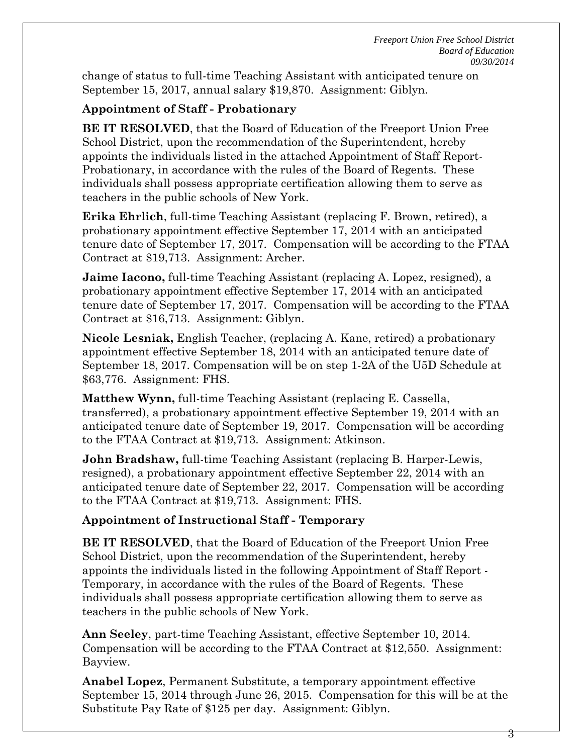change of status to full-time Teaching Assistant with anticipated tenure on September 15, 2017, annual salary \$19,870. Assignment: Giblyn.

# **Appointment of Staff - Probationary**

**BE IT RESOLVED**, that the Board of Education of the Freeport Union Free School District, upon the recommendation of the Superintendent, hereby appoints the individuals listed in the attached Appointment of Staff Report-Probationary, in accordance with the rules of the Board of Regents. These individuals shall possess appropriate certification allowing them to serve as teachers in the public schools of New York.

**Erika Ehrlich**, full-time Teaching Assistant (replacing F. Brown, retired), a probationary appointment effective September 17, 2014 with an anticipated tenure date of September 17, 2017. Compensation will be according to the FTAA Contract at \$19,713. Assignment: Archer.

**Jaime Iacono,** full-time Teaching Assistant (replacing A. Lopez, resigned), a probationary appointment effective September 17, 2014 with an anticipated tenure date of September 17, 2017. Compensation will be according to the FTAA Contract at \$16,713. Assignment: Giblyn.

**Nicole Lesniak,** English Teacher, (replacing A. Kane, retired) a probationary appointment effective September 18, 2014 with an anticipated tenure date of September 18, 2017. Compensation will be on step 1-2A of the U5D Schedule at \$63,776. Assignment: FHS.

**Matthew Wynn,** full-time Teaching Assistant (replacing E. Cassella, transferred), a probationary appointment effective September 19, 2014 with an anticipated tenure date of September 19, 2017. Compensation will be according to the FTAA Contract at \$19,713. Assignment: Atkinson.

**John Bradshaw,** full-time Teaching Assistant (replacing B. Harper-Lewis, resigned), a probationary appointment effective September 22, 2014 with an anticipated tenure date of September 22, 2017. Compensation will be according to the FTAA Contract at \$19,713. Assignment: FHS.

# **Appointment of Instructional Staff - Temporary**

**BE IT RESOLVED**, that the Board of Education of the Freeport Union Free School District, upon the recommendation of the Superintendent, hereby appoints the individuals listed in the following Appointment of Staff Report - Temporary, in accordance with the rules of the Board of Regents. These individuals shall possess appropriate certification allowing them to serve as teachers in the public schools of New York.

**Ann Seeley**, part-time Teaching Assistant, effective September 10, 2014. Compensation will be according to the FTAA Contract at \$12,550. Assignment: Bayview.

**Anabel Lopez**, Permanent Substitute, a temporary appointment effective September 15, 2014 through June 26, 2015. Compensation for this will be at the Substitute Pay Rate of \$125 per day. Assignment: Giblyn.

3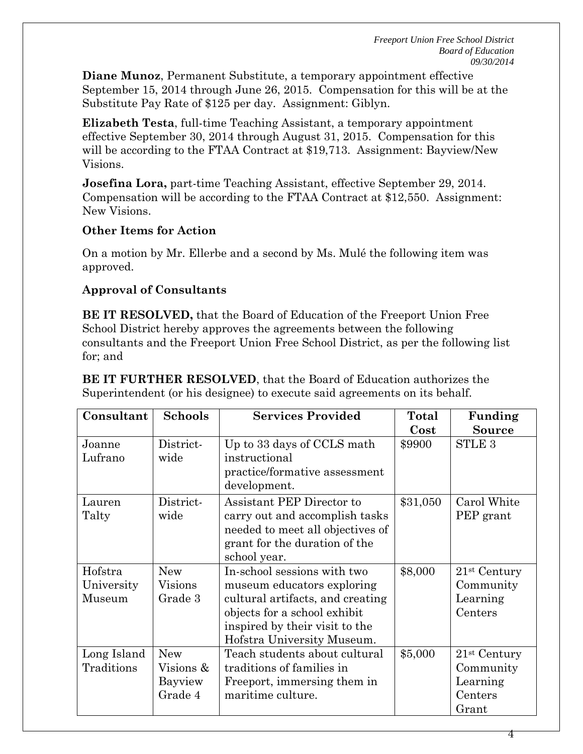**Diane Munoz**, Permanent Substitute, a temporary appointment effective September 15, 2014 through June 26, 2015. Compensation for this will be at the Substitute Pay Rate of \$125 per day. Assignment: Giblyn.

**Elizabeth Testa**, full-time Teaching Assistant, a temporary appointment effective September 30, 2014 through August 31, 2015. Compensation for this will be according to the FTAA Contract at \$19,713. Assignment: Bayview/New Visions.

**Josefina Lora,** part-time Teaching Assistant, effective September 29, 2014. Compensation will be according to the FTAA Contract at \$12,550. Assignment: New Visions.

## **Other Items for Action**

On a motion by Mr. Ellerbe and a second by Ms. Mulé the following item was approved.

# **Approval of Consultants**

**BE IT RESOLVED,** that the Board of Education of the Freeport Union Free School District hereby approves the agreements between the following consultants and the Freeport Union Free School District, as per the following list for; and

**BE IT FURTHER RESOLVED**, that the Board of Education authorizes the Superintendent (or his designee) to execute said agreements on its behalf.

| Consultant  | <b>Schools</b> | <b>Services Provided</b>         | Total    | Funding        |
|-------------|----------------|----------------------------------|----------|----------------|
|             |                |                                  | Cost     | <b>Source</b>  |
| Joanne      | District-      | Up to 33 days of CCLS math       | \$9900   | <b>STLE 3</b>  |
| Lufrano     | wide           | instructional                    |          |                |
|             |                | practice/formative assessment    |          |                |
|             |                | development.                     |          |                |
| Lauren      | District-      | Assistant PEP Director to        | \$31,050 | Carol White    |
| Talty       | wide           | carry out and accomplish tasks   |          | PEP grant      |
|             |                | needed to meet all objectives of |          |                |
|             |                | grant for the duration of the    |          |                |
|             |                | school year.                     |          |                |
| Hofstra     | <b>New</b>     | In-school sessions with two      | \$8,000  | $21st$ Century |
| University  | Visions        | museum educators exploring       |          | Community      |
| Museum      | Grade 3        | cultural artifacts, and creating |          | Learning       |
|             |                | objects for a school exhibit     |          | Centers        |
|             |                | inspired by their visit to the   |          |                |
|             |                | Hofstra University Museum.       |          |                |
| Long Island | <b>New</b>     | Teach students about cultural    | \$5,000  | $21st$ Century |
| Traditions  | Visions &      | traditions of families in        |          | Community      |
|             | Bayview        | Freeport, immersing them in      |          | Learning       |
|             | Grade 4        | maritime culture.                |          | Centers        |
|             |                |                                  |          | Grant          |

4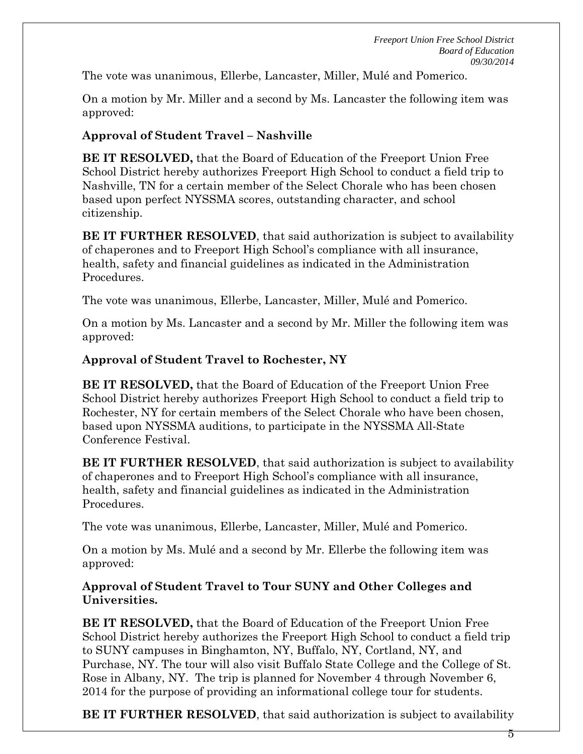The vote was unanimous, Ellerbe, Lancaster, Miller, Mulé and Pomerico.

On a motion by Mr. Miller and a second by Ms. Lancaster the following item was approved:

# **Approval of Student Travel – Nashville**

**BE IT RESOLVED,** that the Board of Education of the Freeport Union Free School District hereby authorizes Freeport High School to conduct a field trip to Nashville, TN for a certain member of the Select Chorale who has been chosen based upon perfect NYSSMA scores, outstanding character, and school citizenship.

**BE IT FURTHER RESOLVED**, that said authorization is subject to availability of chaperones and to Freeport High School's compliance with all insurance, health, safety and financial guidelines as indicated in the Administration Procedures.

The vote was unanimous, Ellerbe, Lancaster, Miller, Mulé and Pomerico.

On a motion by Ms. Lancaster and a second by Mr. Miller the following item was approved:

# **Approval of Student Travel to Rochester, NY**

**BE IT RESOLVED,** that the Board of Education of the Freeport Union Free School District hereby authorizes Freeport High School to conduct a field trip to Rochester, NY for certain members of the Select Chorale who have been chosen, based upon NYSSMA auditions, to participate in the NYSSMA All-State Conference Festival.

**BE IT FURTHER RESOLVED**, that said authorization is subject to availability of chaperones and to Freeport High School's compliance with all insurance, health, safety and financial guidelines as indicated in the Administration Procedures.

The vote was unanimous, Ellerbe, Lancaster, Miller, Mulé and Pomerico.

On a motion by Ms. Mulé and a second by Mr. Ellerbe the following item was approved:

## **Approval of Student Travel to Tour SUNY and Other Colleges and Universities.**

**BE IT RESOLVED,** that the Board of Education of the Freeport Union Free School District hereby authorizes the Freeport High School to conduct a field trip to SUNY campuses in Binghamton, NY, Buffalo, NY, Cortland, NY, and Purchase, NY. The tour will also visit Buffalo State College and the College of St. Rose in Albany, NY. The trip is planned for November 4 through November 6, 2014 for the purpose of providing an informational college tour for students.

**BE IT FURTHER RESOLVED**, that said authorization is subject to availability